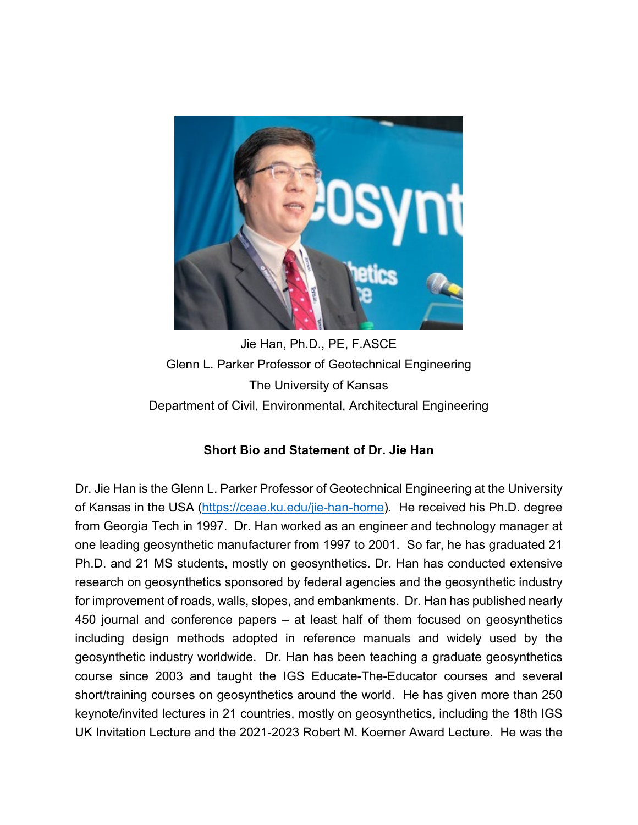

Jie Han, Ph.D., PE, F.ASCE Glenn L. Parker Professor of Geotechnical Engineering The University of Kansas Department of Civil, Environmental, Architectural Engineering

## **Short Bio and Statement of Dr. Jie Han**

Dr. Jie Han is the Glenn L. Parker Professor of Geotechnical Engineering at the University of Kansas in the USA [\(https://ceae.ku.edu/jie-han-home\)](https://ceae.ku.edu/jie-han-home). He received his Ph.D. degree from Georgia Tech in 1997. Dr. Han worked as an engineer and technology manager at one leading geosynthetic manufacturer from 1997 to 2001. So far, he has graduated 21 Ph.D. and 21 MS students, mostly on geosynthetics. Dr. Han has conducted extensive research on geosynthetics sponsored by federal agencies and the geosynthetic industry for improvement of roads, walls, slopes, and embankments. Dr. Han has published nearly 450 journal and conference papers – at least half of them focused on geosynthetics including design methods adopted in reference manuals and widely used by the geosynthetic industry worldwide. Dr. Han has been teaching a graduate geosynthetics course since 2003 and taught the IGS Educate-The-Educator courses and several short/training courses on geosynthetics around the world. He has given more than 250 keynote/invited lectures in 21 countries, mostly on geosynthetics, including the 18th IGS UK Invitation Lecture and the 2021-2023 Robert M. Koerner Award Lecture. He was the